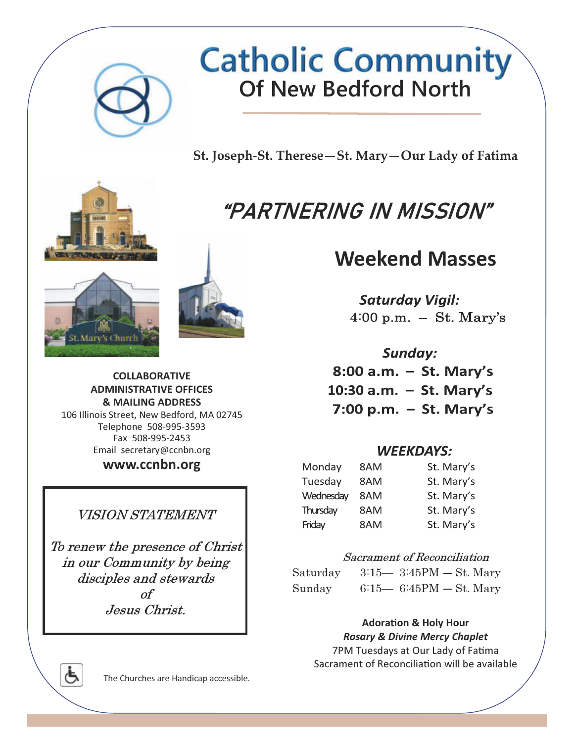

St. Joseph-St. Therese—St. Mary—Our Lady of Fatima

# "PARTNERING IN MISSION"

## Weekend Masses

**Saturday Vigil:** 4:00 p.m.  $-$  St. Mary's

Sunday: 8:00 a.m.  $-$  St. Mary's 10:30 a.m. - St. Mary's 7:00 p.m.  $-$  St. Mary's

#### **WEEKDAYS:**

| Monday    | 8AM | St. Mary's |
|-----------|-----|------------|
| Tuesday   | 8AM | St. Mary's |
| Wednesday | 8AM | St. Mary's |
| Thursday  | 8AM | St. Mary's |
| Friday    | 8AM | St. Mary's |

#### Sacrament of Reconciliation

| Saturday | $3:15 - 3:45PM - St. Mary$ |  |
|----------|----------------------------|--|
| Sunday   | $6:15-6:45PM-St$ . Mary    |  |

#### **Adoration & Holy Hour** Rosary & Divine Mercy Chaplet

7PM Tuesdays at Our Lady of Fatima Sacrament of Reconciliation will be available







#### COLLABORATIVE ADMINISTRATIVE OFFICES & MAILING ADDRESS

106 Illinois Street, New Bedford, MA 02745 Telephone 508-995-3593 Fax 508-995-2453 Email secretary@ccnbn.org

www.ccnbn.org

### VISION STATEMENT

To renew the presence of Christ in our Community by being disciples and stewards of Jesus Christ.

Ġ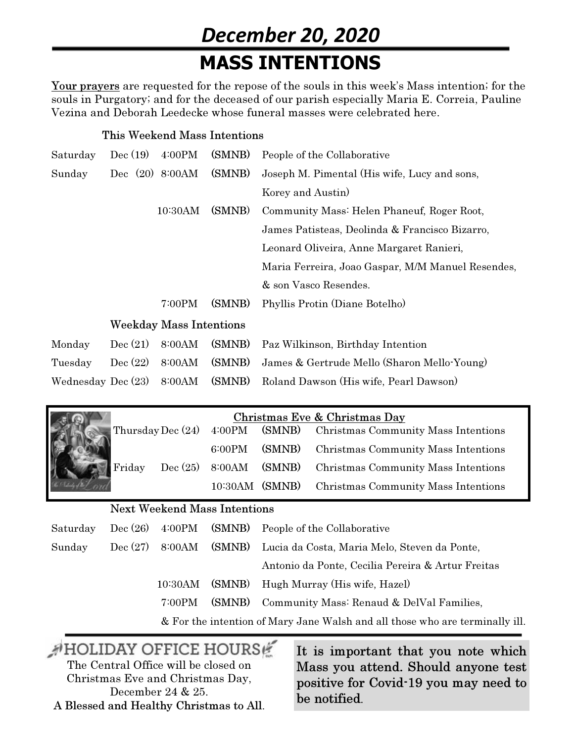## December 20, 2020 MASS INTENTIONS

Your prayers are requested for the repose of the souls in this week's Mass intention; for the souls in Purgatory; and for the deceased of our parish especially Maria E. Correia, Pauline Vezina and Deborah Leedecke whose funeral masses were celebrated here.

#### This Weekend Mass Intentions

| Saturday           | Dec(19)           | 4:00PM                         | (SMNB) | People of the Collaborative                       |
|--------------------|-------------------|--------------------------------|--------|---------------------------------------------------|
| Sunday             | Dec $(20)$ 8:00AM |                                | (SMNB) | Joseph M. Pimental (His wife, Lucy and sons,      |
|                    |                   |                                |        | Korey and Austin                                  |
|                    |                   | 10:30AM                        | (SMNB) | Community Mass: Helen Phaneuf, Roger Root,        |
|                    |                   |                                |        | James Patisteas, Deolinda & Francisco Bizarro,    |
|                    |                   |                                |        | Leonard Oliveira, Anne Margaret Ranieri,          |
|                    |                   |                                |        | Maria Ferreira, Joao Gaspar, M/M Manuel Resendes, |
|                    |                   |                                |        | & son Vasco Resendes.                             |
|                    |                   | 7:00PM                         | (SMNB) | Phyllis Protin (Diane Botelho)                    |
|                    |                   | <b>Weekday Mass Intentions</b> |        |                                                   |
| Monday             | Dec(21)           | 8:00AM                         | (SMNB) | Paz Wilkinson, Birthday Intention                 |
| Tuesday            | Dec (22)          | 8:00AM                         | (SMNB) | James & Gertrude Mello (Sharon Mello Young)       |
| Wednesday Dec (23) |                   | 8:00AM                         | (SMNB) | Roland Dawson (His wife, Pearl Dawson)            |

|        |                   |                | Christmas Eve & Christmas Day                              |
|--------|-------------------|----------------|------------------------------------------------------------|
|        | Thursday Dec (24) |                | 4:00PM (SMNB) Christmas Community Mass Intentions          |
|        |                   |                | 6:00PM (SMNB) Christmas Community Mass Intentions          |
| Friday |                   |                | Dec (25) 8:00AM (SMNB) Christmas Community Mass Intentions |
|        |                   | 10:30AM (SMNB) | <b>Christmas Community Mass Intentions</b>                 |

#### Next Weekend Mass Intentions

| Saturday |        | Dec $(26)$ 4:00PM (SMNB) People of the Collaborative                         |
|----------|--------|------------------------------------------------------------------------------|
| Sunday   |        | Dec (27) 8:00AM (SMNB) Lucia da Costa, Maria Melo, Steven da Ponte,          |
|          |        | Antonio da Ponte, Cecilia Pereira & Artur Freitas                            |
|          |        | 10:30AM (SMNB) Hugh Murray (His wife, Hazel)                                 |
|          | 7:00PM | (SMNB) Community Mass: Renaud & DelVal Families,                             |
|          |        | & For the intention of Mary Jane Walsh and all those who are terminally ill. |

## AHOLIDAY OFFICE HOURS The Central Office will be closed on

Christmas Eve and Christmas Day, December 24 & 25. A Blessed and Healthy Christmas to All. It is important that you note which Mass you attend. Should anyone test positive for Covid-19 you may need to be notified.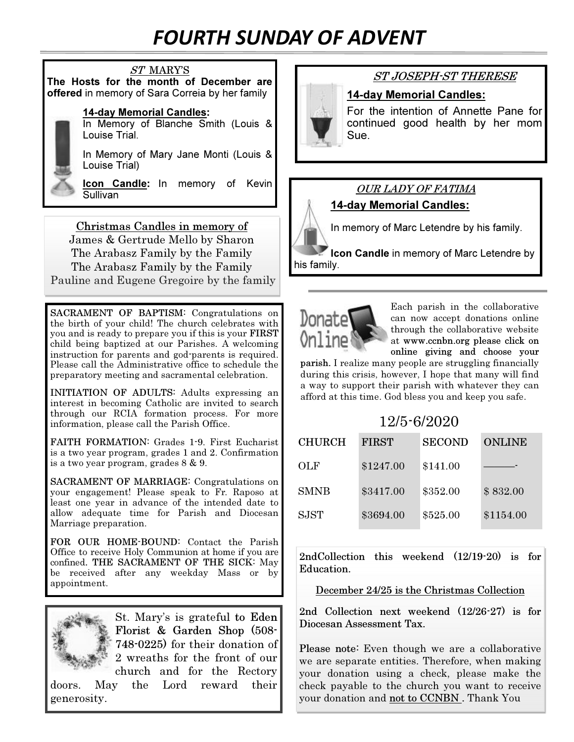## FOURTH SUNDAY OF ADVENT

#### ST MARY'S The Hosts for the month of December are

offered in memory of Sara Correia by her family

#### 14-day Memorial Candles:

In Memory of Blanche Smith (Louis & Louise Trial.

In Memory of Mary Jane Monti (Louis & Louise Trial)

**Icon Candle:** In memory of Kevin Sullivan

Christmas Candles in memory of James & Gertrude Mello by Sharon The Arabasz Family by the Family The Arabasz Family by the Family Pauline and Eugene Gregoire by the family

SACRAMENT OF BAPTISM: Congratulations on the birth of your child! The church celebrates with you and is ready to prepare you if this is your FIRST child being baptized at our Parishes. A welcoming instruction for parents and god-parents is required. Please call the Administrative office to schedule the preparatory meeting and sacramental celebration.

INITIATION OF ADULTS: Adults expressing an interest in becoming Catholic are invited to search through our RCIA formation process. For more information, please call the Parish Office.

FAITH FORMATION: Grades 1-9. First Eucharist is a two year program, grades 1 and 2. Confirmation is a two year program, grades 8 & 9.

SACRAMENT OF MARRIAGE: Congratulations on your engagement! Please speak to Fr. Raposo at least one year in advance of the intended date to allow adequate time for Parish and Diocesan Marriage preparation.

FOR OUR HOME-BOUND: Contact the Parish Office to receive Holy Communion at home if you are confined. THE SACRAMENT OF THE SICK: May be received after any weekday Mass or by appointment.



St. Mary's is grateful to Eden Florist & Garden Shop (508- 748-0225) for their donation of 2 wreaths for the front of our church and for the Rectory

doors. May the Lord reward their generosity.

### ST JOSEPH-ST THERESE

#### 14-day Memorial Candles:

For the intention of Annette Pane for continued good health by her mom Sue.

### OUR LADY OF FATIMA 14-day Memorial Candles:

In memory of Marc Letendre by his family.

**Icon Candle** in memory of Marc Letendre by his family.



Each parish in the collaborative can now accept donations online through the collaborative website at www.ccnbn.org please click on online giving and choose your

parish. I realize many people are struggling financially during this crisis, however, I hope that many will find a way to support their parish with whatever they can afford at this time. God bless you and keep you safe.

| 12/5-6/2020   |              |               |               |  |  |
|---------------|--------------|---------------|---------------|--|--|
| <b>CHURCH</b> | <b>FIRST</b> | <b>SECOND</b> | <b>ONLINE</b> |  |  |
| OLF           | \$1247.00    | \$141.00      |               |  |  |
| <b>SMNB</b>   | \$3417.00    | \$352.00      | \$832.00      |  |  |
| <b>SJST</b>   | \$3694.00    | \$525.00      | \$1154.00     |  |  |

2ndCollection this weekend (12/19-20) is for Education.

December 24/25 is the Christmas Collection

2nd Collection next weekend (12/26-27) is for Diocesan Assessment Tax.

Please note: Even though we are a collaborative we are separate entities. Therefore, when making your donation using a check, please make the check payable to the church you want to receive your donation and not to CCNBN . Thank You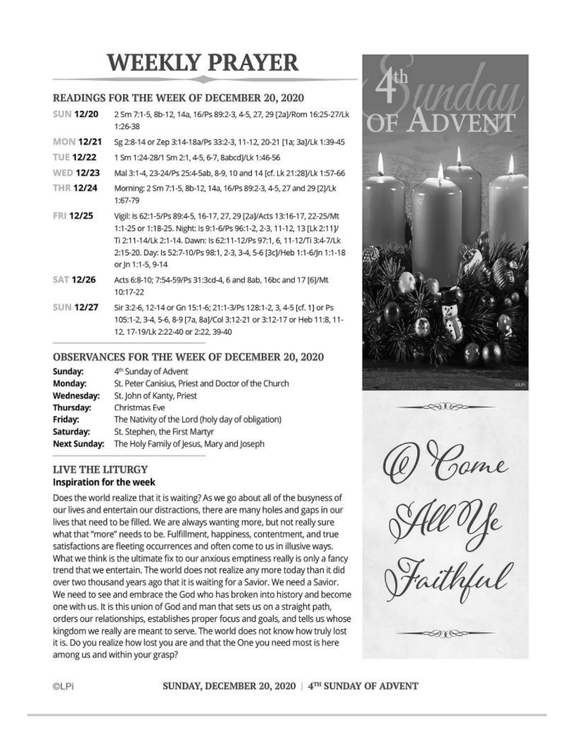# **WEEKLY PRAYER**

#### READINGS FOR THE WEEK OF DECEMBER 20, 2020

| <b>SUN 12/20</b> | 2 Sm 7:1-5, 8b-12, 14a, 16/Ps 89:2-3, 4-5, 27, 29 [2a]/Rom 16:25-27/Lk<br>1:26-38                                                                                                                                                                                                                                           |
|------------------|-----------------------------------------------------------------------------------------------------------------------------------------------------------------------------------------------------------------------------------------------------------------------------------------------------------------------------|
| <b>MON 12/21</b> | Sg 2:8-14 or Zep 3:14-18a/Ps 33:2-3, 11-12, 20-21 [1a; 3a]/Lk 1:39-45                                                                                                                                                                                                                                                       |
| <b>TUE 12/22</b> | 1 Sm 1:24-28/1 Sm 2:1, 4-5, 6-7, 8abcd]/Lk 1:46-56                                                                                                                                                                                                                                                                          |
| <b>WED 12/23</b> | Mal 3:1-4, 23-24/Ps 25:4-5ab, 8-9, 10 and 14 [cf. Lk 21:28]/Lk 1:57-66                                                                                                                                                                                                                                                      |
| <b>THR 12/24</b> | Morning: 2 Sm 7:1-5, 8b-12, 14a, 16/Ps 89:2-3, 4-5, 27 and 29 [2]/Lk<br>1:67-79                                                                                                                                                                                                                                             |
| FRI 12/25        | Vigil: Is 62:1-5/Ps 89:4-5, 16-17, 27, 29 [2a]/Acts 13:16-17, 22-25/Mt<br>1:1-25 or 1:18-25. Night: Is 9:1-6/Ps 96:1-2, 2-3, 11-12, 13 [Lk 2:11]/<br>Ti 2:11-14/Lk 2:1-14. Dawn: Is 62:11-12/Ps 97:1, 6, 11-12/Ti 3:4-7/Lk<br>2:15-20. Day: Is 52:7-10/Ps 98:1, 2-3, 3-4, 5-6 [3c]/Heb 1:1-6/Jn 1:1-18<br>or jn 1:1-5, 9-14 |
| <b>SAT 12/26</b> | Acts 6:8-10; 7:54-59/Ps 31:3cd-4, 6 and 8ab, 16bc and 17 [6]/Mt<br>10:17-22                                                                                                                                                                                                                                                 |
| <b>SUN 12/27</b> | Sir 3:2-6, 12-14 or Gn 15:1-6; 21:1-3/Ps 128:1-2, 3, 4-5 [cf. 1] or Ps<br>105:1-2, 3-4, 5-6, 8-9 [7a, 8a]/Col 3:12-21 or 3:12-17 or Heb 11:8, 11-<br>12, 17-19/Lk 2:22-40 or 2:22, 39-40                                                                                                                                    |

#### **OBSERVANCES FOR THE WEEK OF DECEMBER 20, 2020**

| Sunday:             | 4 <sup>th</sup> Sunday of Advent                    |
|---------------------|-----------------------------------------------------|
| Monday:             | St. Peter Canisius, Priest and Doctor of the Church |
| Wednesday:          | St. John of Kanty, Priest                           |
| Thursday:           | Christmas Eve                                       |
| Friday:             | The Nativity of the Lord (holy day of obligation)   |
| Saturday:           | St. Stephen, the First Martyr                       |
| <b>Next Sunday:</b> | The Holy Family of Jesus, Mary and Joseph           |

#### **LIVE THE LITURGY Inspiration for the week**

Does the world realize that it is waiting? As we go about all of the busyness of our lives and entertain our distractions, there are many holes and gaps in our lives that need to be filled. We are always wanting more, but not really sure what that "more" needs to be. Fulfillment, happiness, contentment, and true satisfactions are fleeting occurrences and often come to us in illusive ways. What we think is the ultimate fix to our anxious emptiness really is only a fancy trend that we entertain. The world does not realize any more today than it did over two thousand years ago that it is waiting for a Savior. We need a Savior. We need to see and embrace the God who has broken into history and become one with us. It is this union of God and man that sets us on a straight path, orders our relationships, establishes proper focus and goals, and tells us whose kingdom we really are meant to serve. The world does not know how truly lost it is. Do you realize how lost you are and that the One you need most is here among us and within your grasp?



Come

ill Uje<br>aithlul

∞≀

SUNDAY, DECEMBER 20, 2020 | 4TH SUNDAY OF ADVENT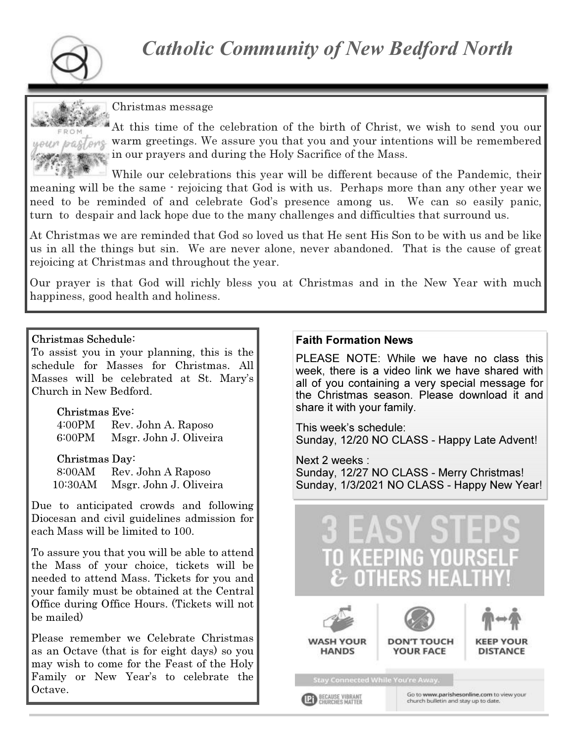

#### Christmas message



At this time of the celebration of the birth of Christ, we wish to send you our warm greetings. We assure you that you and your intentions will be remembered in our prayers and during the Holy Sacrifice of the Mass.

While our celebrations this year will be different because of the Pandemic, their meaning will be the same - rejoicing that God is with us. Perhaps more than any other year we need to be reminded of and celebrate God's presence among us. We can so easily panic, turn to despair and lack hope due to the many challenges and difficulties that surround us.

At Christmas we are reminded that God so loved us that He sent His Son to be with us and be like us in all the things but sin. We are never alone, never abandoned. That is the cause of great rejoicing at Christmas and throughout the year.

Our prayer is that God will richly bless you at Christmas and in the New Year with much happiness, good health and holiness.

#### Christmas Schedule:

To assist you in your planning, this is the schedule for Masses for Christmas. All Masses will be celebrated at St. Mary's Church in New Bedford.

> Christmas Eve: 4:00PM Rev. John A. Raposo 6:00PM Msgr. John J. Oliveira

Christmas Day: 8:00AM Rev. John A Raposo

10:30AM Msgr. John J. Oliveira

Due to anticipated crowds and following Diocesan and civil guidelines admission for each Mass will be limited to 100.

To assure you that you will be able to attend the Mass of your choice, tickets will be needed to attend Mass. Tickets for you and your family must be obtained at the Central Office during Office Hours. (Tickets will not be mailed)

Please remember we Celebrate Christmas as an Octave (that is for eight days) so you may wish to come for the Feast of the Holy Family or New Year's to celebrate the Octave.

#### Faith Formation News

PLEASE NOTE: While we have no class this week, there is a video link we have shared with all of you containing a very special message for the Christmas season. Please download it and share it with your family.

This week's schedule: Sunday, 12/20 NO CLASS - Happy Late Advent!

Next 2 weeks : Sunday, 12/27 NO CLASS - Merry Christmas! Sunday, 1/3/2021 NO CLASS - Happy New Year!